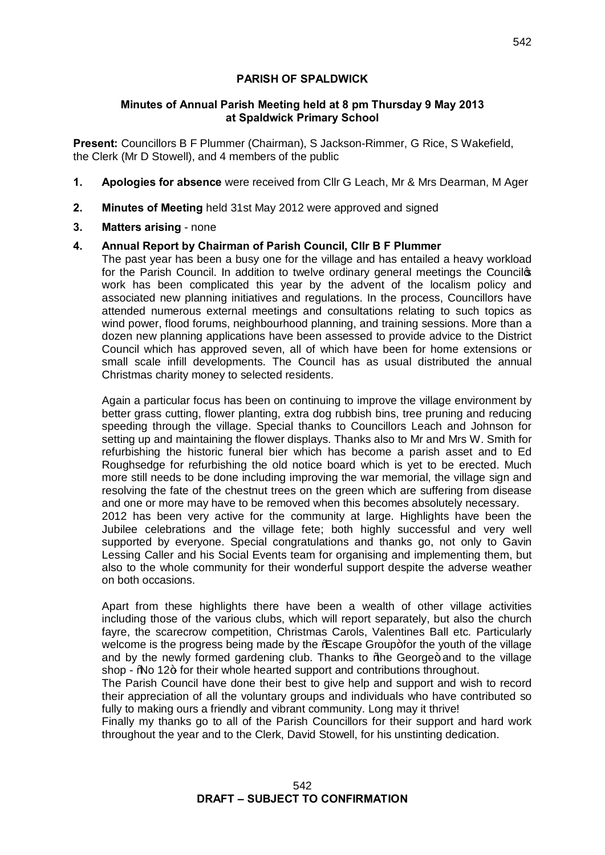# **PARISH OF SPALDWICK**

# **Minutes of Annual Parish Meeting held at 8 pm Thursday 9 May 2013 at Spaldwick Primary School**

**Present:** Councillors B F Plummer (Chairman), S Jackson-Rimmer, G Rice, S Wakefield, the Clerk (Mr D Stowell), and 4 members of the public

- **1. Apologies for absence** were received from Cllr G Leach, Mr & Mrs Dearman, M Ager
- **2. Minutes of Meeting** held 31st May 2012 were approved and signed
- **3. Matters arising** none

# **4. Annual Report by Chairman of Parish Council, Cllr B F Plummer**

The past year has been a busy one for the village and has entailed a heavy workload for the Parish Council. In addition to twelve ordinary general meetings the Councilos work has been complicated this year by the advent of the localism policy and associated new planning initiatives and regulations. In the process, Councillors have attended numerous external meetings and consultations relating to such topics as wind power, flood forums, neighbourhood planning, and training sessions. More than a dozen new planning applications have been assessed to provide advice to the District Council which has approved seven, all of which have been for home extensions or small scale infill developments. The Council has as usual distributed the annual Christmas charity money to selected residents.

Again a particular focus has been on continuing to improve the village environment by better grass cutting, flower planting, extra dog rubbish bins, tree pruning and reducing speeding through the village. Special thanks to Councillors Leach and Johnson for setting up and maintaining the flower displays. Thanks also to Mr and Mrs W. Smith for refurbishing the historic funeral bier which has become a parish asset and to Ed Roughsedge for refurbishing the old notice board which is yet to be erected. Much more still needs to be done including improving the war memorial, the village sign and resolving the fate of the chestnut trees on the green which are suffering from disease and one or more may have to be removed when this becomes absolutely necessary. 2012 has been very active for the community at large. Highlights have been the Jubilee celebrations and the village fete; both highly successful and very well supported by everyone. Special congratulations and thanks go, not only to Gavin Lessing Caller and his Social Events team for organising and implementing them, but also to the whole community for their wonderful support despite the adverse weather on both occasions.

Apart from these highlights there have been a wealth of other village activities including those of the various clubs, which will report separately, but also the church fayre, the scarecrow competition, Christmas Carols, Valentines Ball etc. Particularly welcome is the progress being made by the % assame Group+for the youth of the village and by the newly formed gardening club. Thanks to % be George+ and to the village shop -  $\%$  12+ for their whole hearted support and contributions throughout.

The Parish Council have done their best to give help and support and wish to record their appreciation of all the voluntary groups and individuals who have contributed so fully to making ours a friendly and vibrant community. Long may it thrive!

Finally my thanks go to all of the Parish Councillors for their support and hard work throughout the year and to the Clerk, David Stowell, for his unstinting dedication.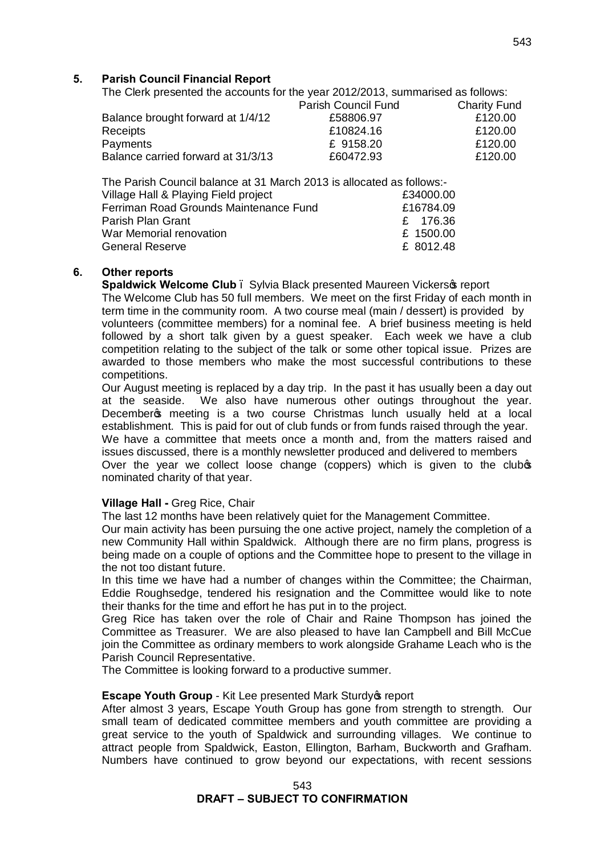### **5. Parish Council Financial Report**

The Clerk presented the accounts for the year 2012/2013, summarised as follows:

|                                    | Parish Council Fund | <b>Charity Fund</b> |
|------------------------------------|---------------------|---------------------|
| Balance brought forward at 1/4/12  | £58806.97           | £120.00             |
| Receipts                           | £10824.16           | £120.00             |
| Payments                           | £ 9158.20           | £120.00             |
| Balance carried forward at 31/3/13 | £60472.93           | £120.00             |
|                                    |                     |                     |

The Parish Council balance at 31 March 2013 is allocated as follows:- Village Hall & Playing Field project E34000.00 Ferriman Road Grounds Maintenance Fund £16784.09 Parish Plan Grant<br>
War Memorial renovation<br>
War Memorial renovation<br>
200.00 War Memorial renovation General Reserve **E** 8012.48

#### **6. Other reports**

**Spaldwick Welcome Club** . Sylvia Black presented Maureen Vickers of report

The Welcome Club has 50 full members. We meet on the first Friday of each month in term time in the community room. A two course meal (main / dessert) is provided by volunteers (committee members) for a nominal fee. A brief business meeting is held followed by a short talk given by a guest speaker. Each week we have a club competition relating to the subject of the talk or some other topical issue. Prizes are awarded to those members who make the most successful contributions to these competitions.

Our August meeting is replaced by a day trip. In the past it has usually been a day out at the seaside. We also have numerous other outings throughout the year. December opmeeting is a two course Christmas lunch usually held at a local establishment. This is paid for out of club funds or from funds raised through the year. We have a committee that meets once a month and, from the matters raised and issues discussed, there is a monthly newsletter produced and delivered to members Over the year we collect loose change (coppers) which is given to the clubos nominated charity of that year.

#### **Village Hall -** Greg Rice, Chair

The last 12 months have been relatively quiet for the Management Committee.

Our main activity has been pursuing the one active project, namely the completion of a new Community Hall within Spaldwick. Although there are no firm plans, progress is being made on a couple of options and the Committee hope to present to the village in the not too distant future.

In this time we have had a number of changes within the Committee; the Chairman, Eddie Roughsedge, tendered his resignation and the Committee would like to note their thanks for the time and effort he has put in to the project.

Greg Rice has taken over the role of Chair and Raine Thompson has joined the Committee as Treasurer. We are also pleased to have Ian Campbell and Bill McCue join the Committee as ordinary members to work alongside Grahame Leach who is the Parish Council Representative.

The Committee is looking forward to a productive summer.

#### **Escape Youth Group - Kit Lee presented Mark Sturdy & report**

After almost 3 years, Escape Youth Group has gone from strength to strength. Our small team of dedicated committee members and youth committee are providing a great service to the youth of Spaldwick and surrounding villages. We continue to attract people from Spaldwick, Easton, Ellington, Barham, Buckworth and Grafham. Numbers have continued to grow beyond our expectations, with recent sessions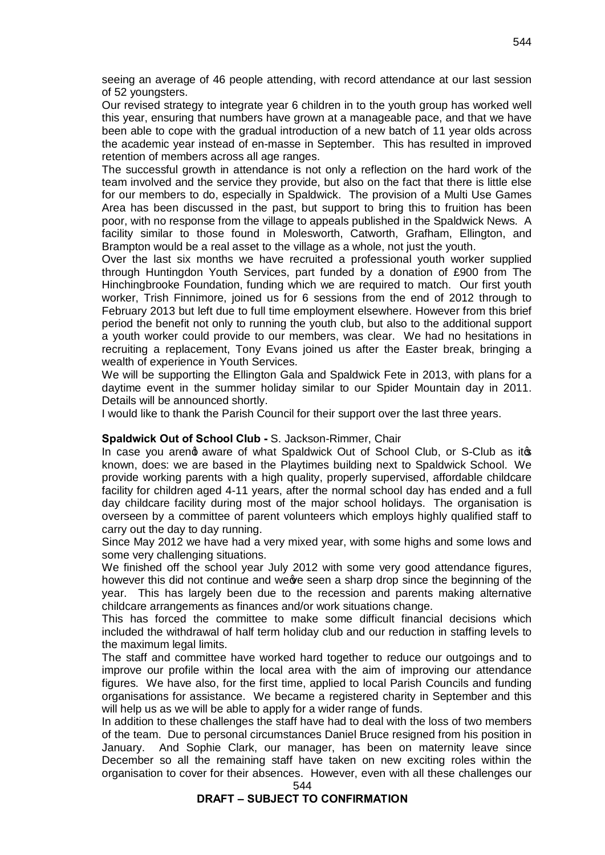seeing an average of 46 people attending, with record attendance at our last session of 52 youngsters.

Our revised strategy to integrate year 6 children in to the youth group has worked well this year, ensuring that numbers have grown at a manageable pace, and that we have been able to cope with the gradual introduction of a new batch of 11 year olds across the academic year instead of en-masse in September. This has resulted in improved retention of members across all age ranges.

The successful growth in attendance is not only a reflection on the hard work of the team involved and the service they provide, but also on the fact that there is little else for our members to do, especially in Spaldwick. The provision of a Multi Use Games Area has been discussed in the past, but support to bring this to fruition has been poor, with no response from the village to appeals published in the Spaldwick News. A facility similar to those found in Molesworth, Catworth, Grafham, Ellington, and Brampton would be a real asset to the village as a whole, not just the youth.

Over the last six months we have recruited a professional youth worker supplied through Huntingdon Youth Services, part funded by a donation of £900 from The Hinchingbrooke Foundation, funding which we are required to match. Our first youth worker, Trish Finnimore, joined us for 6 sessions from the end of 2012 through to February 2013 but left due to full time employment elsewhere. However from this brief period the benefit not only to running the youth club, but also to the additional support a youth worker could provide to our members, was clear. We had no hesitations in recruiting a replacement, Tony Evans joined us after the Easter break, bringing a wealth of experience in Youth Services.

We will be supporting the Ellington Gala and Spaldwick Fete in 2013, with plans for a daytime event in the summer holiday similar to our Spider Mountain day in 2011. Details will be announced shortly.

I would like to thank the Parish Council for their support over the last three years.

#### **Spaldwick Out of School Club -** S. Jackson-Rimmer, Chair

In case you areng aware of what Spaldwick Out of School Club, or S-Club as itos known, does: we are based in the Playtimes building next to Spaldwick School. We provide working parents with a high quality, properly supervised, affordable childcare facility for children aged 4-11 years, after the normal school day has ended and a full day childcare facility during most of the major school holidays. The organisation is overseen by a committee of parent volunteers which employs highly qualified staff to carry out the day to day running.

Since May 2012 we have had a very mixed year, with some highs and some lows and some very challenging situations.

We finished off the school year July 2012 with some very good attendance figures, however this did not continue and we are a sharp drop since the beginning of the year. This has largely been due to the recession and parents making alternative childcare arrangements as finances and/or work situations change.

This has forced the committee to make some difficult financial decisions which included the withdrawal of half term holiday club and our reduction in staffing levels to the maximum legal limits.

The staff and committee have worked hard together to reduce our outgoings and to improve our profile within the local area with the aim of improving our attendance figures. We have also, for the first time, applied to local Parish Councils and funding organisations for assistance. We became a registered charity in September and this will help us as we will be able to apply for a wider range of funds.

In addition to these challenges the staff have had to deal with the loss of two members of the team. Due to personal circumstances Daniel Bruce resigned from his position in January. And Sophie Clark, our manager, has been on maternity leave since December so all the remaining staff have taken on new exciting roles within the organisation to cover for their absences. However, even with all these challenges our

#### 544

#### **DRAFT – SUBJECT TO CONFIRMATION**